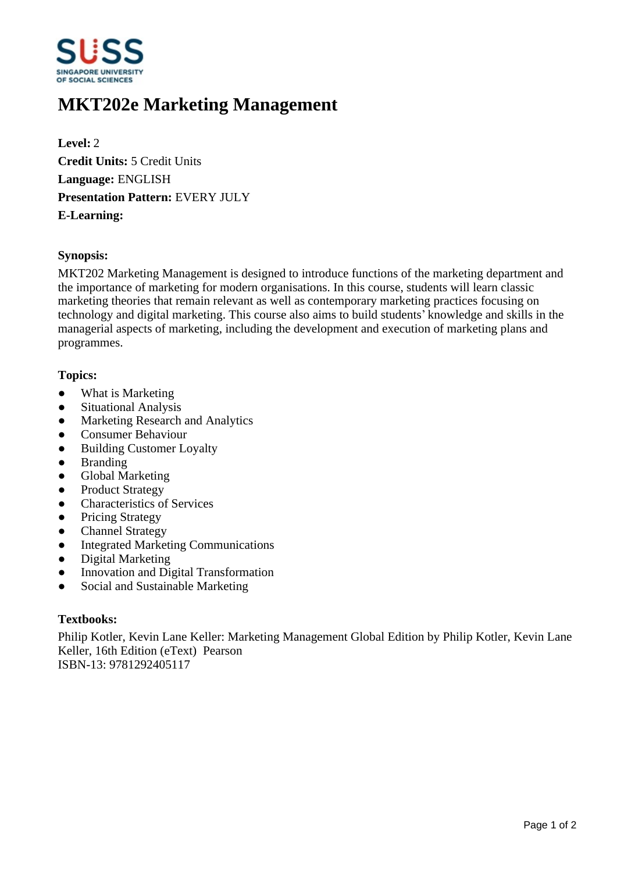

# **MKT202e Marketing Management**

**Level:** 2 **Credit Units:** 5 Credit Units **Language:** ENGLISH **Presentation Pattern:** EVERY JULY **E-Learning:** 

#### **Synopsis:**

MKT202 Marketing Management is designed to introduce functions of the marketing department and the importance of marketing for modern organisations. In this course, students will learn classic marketing theories that remain relevant as well as contemporary marketing practices focusing on technology and digital marketing. This course also aims to build students' knowledge and skills in the managerial aspects of marketing, including the development and execution of marketing plans and programmes.

### **Topics:**

- What is Marketing
- Situational Analysis
- Marketing Research and Analytics
- Consumer Behaviour
- Building Customer Loyalty
- Branding
- Global Marketing
- Product Strategy
- Characteristics of Services
- Pricing Strategy
- Channel Strategy
- Integrated Marketing Communications
- Digital Marketing
- Innovation and Digital Transformation
- Social and Sustainable Marketing

#### **Textbooks:**

Philip Kotler, Kevin Lane Keller: Marketing Management Global Edition by Philip Kotler, Kevin Lane Keller, 16th Edition (eText) Pearson ISBN-13: 9781292405117